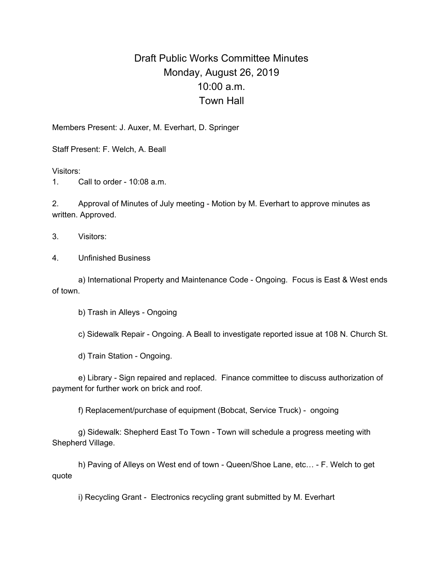## Draft Public Works Committee Minutes Monday, August 26, 2019 10:00 a.m. Town Hall

Members Present: J. Auxer, M. Everhart, D. Springer

Staff Present: F. Welch, A. Beall

Visitors:

1. Call to order - 10:08 a.m.

2. Approval of Minutes of July meeting - Motion by M. Everhart to approve minutes as written. Approved.

3. Visitors:

4. Unfinished Business

a) International Property and Maintenance Code - Ongoing. Focus is East & West ends of town.

b) Trash in Alleys - Ongoing

c) Sidewalk Repair - Ongoing. A Beall to investigate reported issue at 108 N. Church St.

d) Train Station - Ongoing.

e) Library - Sign repaired and replaced. Finance committee to discuss authorization of payment for further work on brick and roof.

f) Replacement/purchase of equipment (Bobcat, Service Truck) - ongoing

g) Sidewalk: Shepherd East To Town - Town will schedule a progress meeting with Shepherd Village.

h) Paving of Alleys on West end of town - Queen/Shoe Lane, etc… - F. Welch to get quote

i) Recycling Grant - Electronics recycling grant submitted by M. Everhart